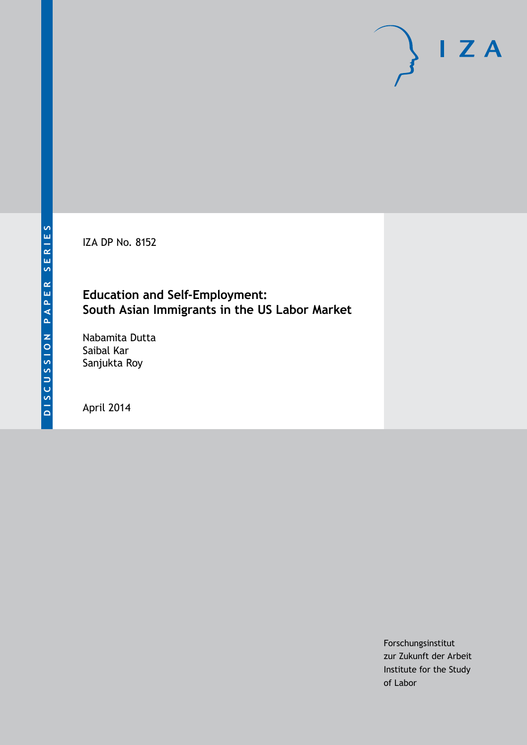IZA DP No. 8152

# **Education and Self-Employment: South Asian Immigrants in the US Labor Market**

Nabamita Dutta Saibal Kar Sanjukta Roy

April 2014

Forschungsinstitut zur Zukunft der Arbeit Institute for the Study of Labor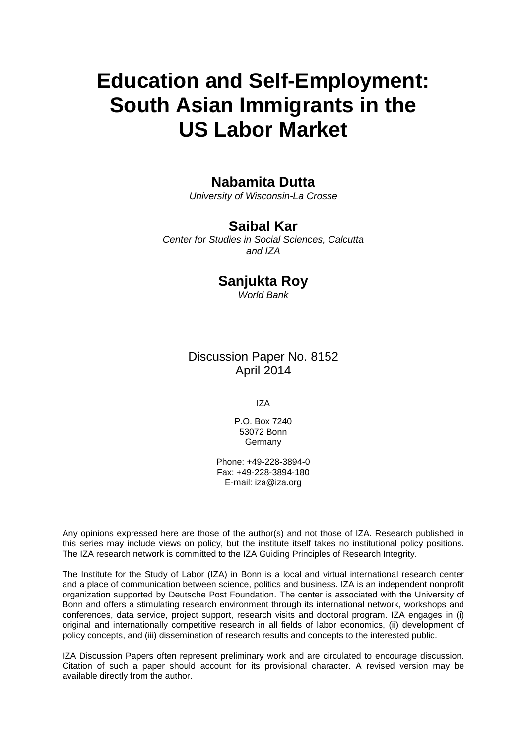# **Education and Self-Employment: South Asian Immigrants in the US Labor Market**

# **Nabamita Dutta**

*University of Wisconsin-La Crosse*

# **Saibal Kar**

*Center for Studies in Social Sciences, Calcutta and IZA*

# **Sanjukta Roy**

*World Bank*

# Discussion Paper No. 8152 April 2014

IZA

P.O. Box 7240 53072 Bonn Germany

Phone: +49-228-3894-0 Fax: +49-228-3894-180 E-mail: [iza@iza.org](mailto:iza@iza.org)

Any opinions expressed here are those of the author(s) and not those of IZA. Research published in this series may include views on policy, but the institute itself takes no institutional policy positions. The IZA research network is committed to the IZA Guiding Principles of Research Integrity.

The Institute for the Study of Labor (IZA) in Bonn is a local and virtual international research center and a place of communication between science, politics and business. IZA is an independent nonprofit organization supported by Deutsche Post Foundation. The center is associated with the University of Bonn and offers a stimulating research environment through its international network, workshops and conferences, data service, project support, research visits and doctoral program. IZA engages in (i) original and internationally competitive research in all fields of labor economics, (ii) development of policy concepts, and (iii) dissemination of research results and concepts to the interested public.

<span id="page-1-0"></span>IZA Discussion Papers often represent preliminary work and are circulated to encourage discussion. Citation of such a paper should account for its provisional character. A revised version may be available directly from the author.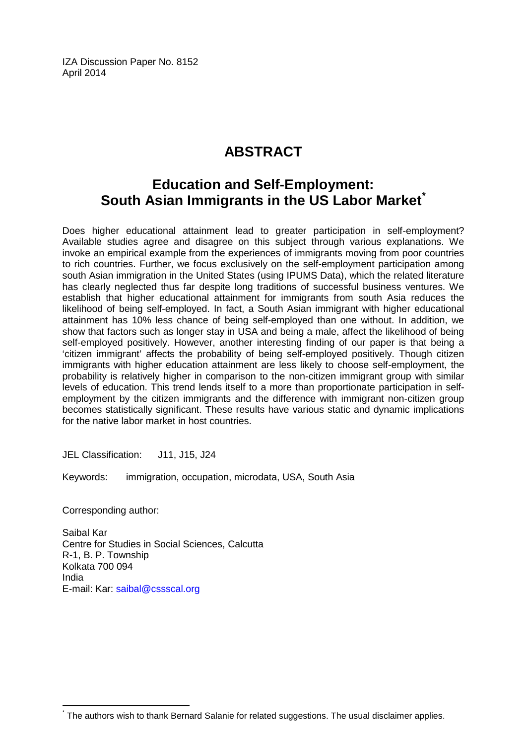IZA Discussion Paper No. 8152 April 2014

# **ABSTRACT**

# **Education and Self-Employment: South Asian Immigrants in the US Labor Market[\\*](#page-1-0)**

Does higher educational attainment lead to greater participation in self-employment? Available studies agree and disagree on this subject through various explanations. We invoke an empirical example from the experiences of immigrants moving from poor countries to rich countries. Further, we focus exclusively on the self-employment participation among south Asian immigration in the United States (using IPUMS Data), which the related literature has clearly neglected thus far despite long traditions of successful business ventures. We establish that higher educational attainment for immigrants from south Asia reduces the likelihood of being self-employed. In fact, a South Asian immigrant with higher educational attainment has 10% less chance of being self-employed than one without. In addition, we show that factors such as longer stay in USA and being a male, affect the likelihood of being self-employed positively. However, another interesting finding of our paper is that being a 'citizen immigrant' affects the probability of being self-employed positively. Though citizen immigrants with higher education attainment are less likely to choose self-employment, the probability is relatively higher in comparison to the non-citizen immigrant group with similar levels of education. This trend lends itself to a more than proportionate participation in selfemployment by the citizen immigrants and the difference with immigrant non-citizen group becomes statistically significant. These results have various static and dynamic implications for the native labor market in host countries.

JEL Classification: J11, J15, J24

Keywords: immigration, occupation, microdata, USA, South Asia

Corresponding author:

Saibal Kar Centre for Studies in Social Sciences, Calcutta R-1, B. P. Township Kolkata 700 094 India E-mail: Kar: [saibal@cssscal.org](mailto:saibal@cssscal.org)

The authors wish to thank Bernard Salanie for related suggestions. The usual disclaimer applies.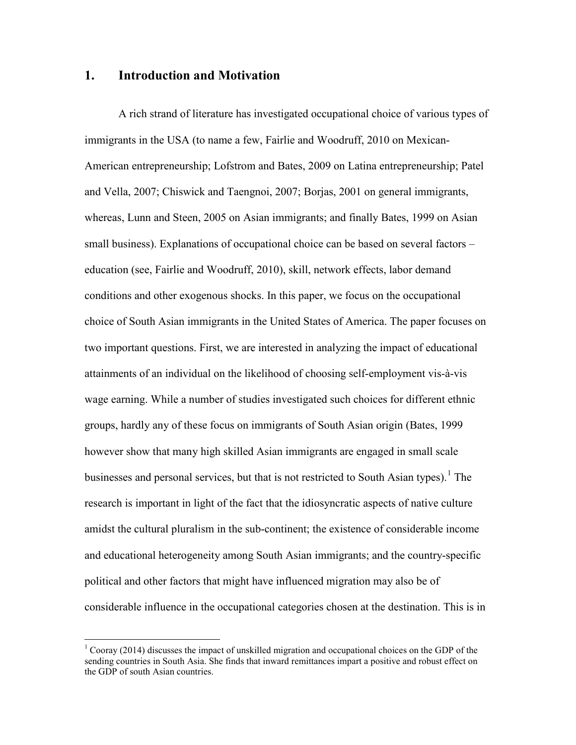#### **1. Introduction and Motivation**

A rich strand of literature has investigated occupational choice of various types of immigrants in the USA (to name a few, Fairlie and Woodruff, 2010 on Mexican-American entrepreneurship; Lofstrom and Bates, 2009 on Latina entrepreneurship; Patel and Vella, 2007; Chiswick and Taengnoi, 2007; Borjas, 2001 on general immigrants, whereas, Lunn and Steen, 2005 on Asian immigrants; and finally Bates, 1999 on Asian small business). Explanations of occupational choice can be based on several factors – education (see, Fairlie and Woodruff, 2010), skill, network effects, labor demand conditions and other exogenous shocks. In this paper, we focus on the occupational choice of South Asian immigrants in the United States of America. The paper focuses on two important questions. First, we are interested in analyzing the impact of educational attainments of an individual on the likelihood of choosing self-employment vis-à-vis wage earning. While a number of studies investigated such choices for different ethnic groups, hardly any of these focus on immigrants of South Asian origin (Bates, 1999 however show that many high skilled Asian immigrants are engaged in small scale businesses and personal services, but that is not restricted to South Asian types).<sup>1</sup> The research is important in light of the fact that the idiosyncratic aspects of native culture amidst the cultural pluralism in the sub-continent; the existence of considerable income and educational heterogeneity among South Asian immigrants; and the country-specific political and other factors that might have influenced migration may also be of considerable influence in the occupational categories chosen at the destination. This is in

<span id="page-3-0"></span> $1$  Cooray (2014) discusses the impact of unskilled migration and occupational choices on the GDP of the sending countries in South Asia. She finds that inward remittances impart a positive and robust effect on the GDP of south Asian countries.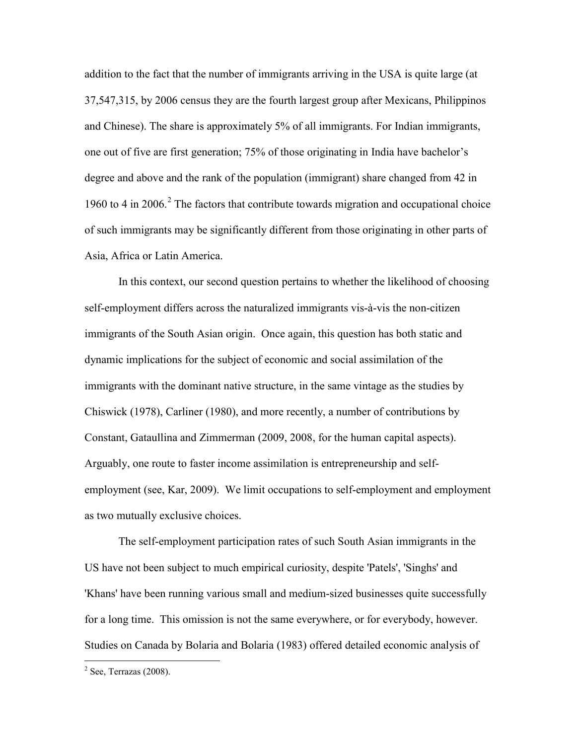addition to the fact that the number of immigrants arriving in the USA is quite large (at 37,547,315, by 2006 census they are the fourth largest group after Mexicans, Philippinos and Chinese). The share is approximately 5% of all immigrants. For Indian immigrants, one out of five are first generation; 75% of those originating in India have bachelor's degree and above and the rank of the population (immigrant) share changed from 42 in 1960 to 4 in [2](#page-3-0)006.<sup>2</sup> The factors that contribute towards migration and occupational choice of such immigrants may be significantly different from those originating in other parts of Asia, Africa or Latin America.

In this context, our second question pertains to whether the likelihood of choosing self-employment differs across the naturalized immigrants vis-à-vis the non-citizen immigrants of the South Asian origin. Once again, this question has both static and dynamic implications for the subject of economic and social assimilation of the immigrants with the dominant native structure, in the same vintage as the studies by Chiswick (1978), Carliner (1980), and more recently, a number of contributions by Constant, Gataullina and Zimmerman (2009, 2008, for the human capital aspects). Arguably, one route to faster income assimilation is entrepreneurship and selfemployment (see, Kar, 2009). We limit occupations to self-employment and employment as two mutually exclusive choices.

<span id="page-4-0"></span>The self-employment participation rates of such South Asian immigrants in the US have not been subject to much empirical curiosity, despite 'Patels', 'Singhs' and 'Khans' have been running various small and medium-sized businesses quite successfully for a long time. This omission is not the same everywhere, or for everybody, however. Studies on Canada by Bolaria and Bolaria (1983) offered detailed economic analysis of

 $2$  See, Terrazas (2008).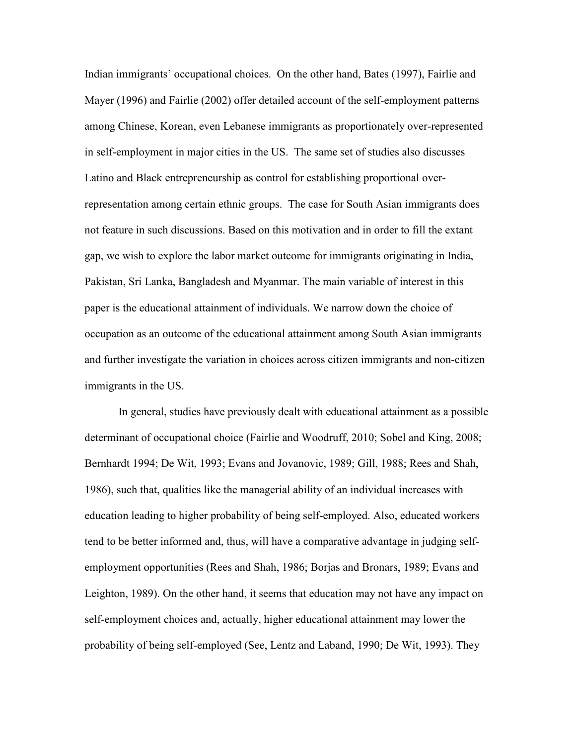Indian immigrants' occupational choices. On the other hand, Bates (1997), Fairlie and Mayer (1996) and Fairlie (2002) offer detailed account of the self-employment patterns among Chinese, Korean, even Lebanese immigrants as proportionately over-represented in self-employment in major cities in the US. The same set of studies also discusses Latino and Black entrepreneurship as control for establishing proportional overrepresentation among certain ethnic groups. The case for South Asian immigrants does not feature in such discussions. Based on this motivation and in order to fill the extant gap, we wish to explore the labor market outcome for immigrants originating in India, Pakistan, Sri Lanka, Bangladesh and Myanmar. The main variable of interest in this paper is the educational attainment of individuals. We narrow down the choice of occupation as an outcome of the educational attainment among South Asian immigrants and further investigate the variation in choices across citizen immigrants and non-citizen immigrants in the US.

In general, studies have previously dealt with educational attainment as a possible determinant of occupational choice (Fairlie and Woodruff, 2010; Sobel and King, 2008; Bernhardt 1994; De Wit, 1993; Evans and Jovanovic, 1989; Gill, 1988; Rees and Shah, 1986), such that, qualities like the managerial ability of an individual increases with education leading to higher probability of being self-employed. Also, educated workers tend to be better informed and, thus, will have a comparative advantage in judging selfemployment opportunities (Rees and Shah, 1986; Borjas and Bronars, 1989; Evans and Leighton, 1989). On the other hand, it seems that education may not have any impact on self-employment choices and, actually, higher educational attainment may lower the probability of being self-employed (See, Lentz and Laband, 1990; De Wit, 1993). They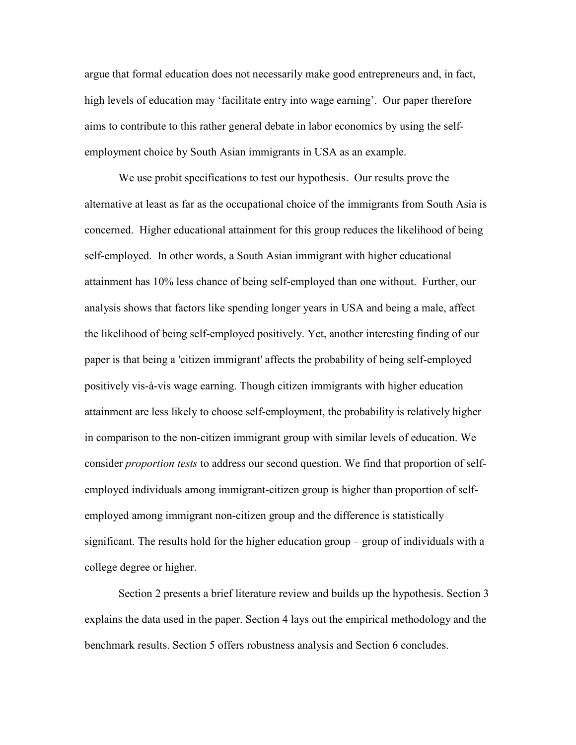argue that formal education does not necessarily make good entrepreneurs and, in fact, high levels of education may 'facilitate entry into wage earning'. Our paper therefore aims to contribute to this rather general debate in labor economics by using the selfemployment choice by South Asian immigrants in USA as an example.

We use probit specifications to test our hypothesis. Our results prove the alternative at least as far as the occupational choice of the immigrants from South Asia is concerned. Higher educational attainment for this group reduces the likelihood of being self-employed. In other words, a South Asian immigrant with higher educational attainment has 10% less chance of being self-employed than one without. Further, our analysis shows that factors like spending longer years in USA and being a male, affect the likelihood of being self-employed positively. Yet, another interesting finding of our paper is that being a 'citizen immigrant' affects the probability of being self-employed positively vis-à-vis wage earning. Though citizen immigrants with higher education attainment are less likely to choose self-employment, the probability is relatively higher in comparison to the non-citizen immigrant group with similar levels of education. We consider *proportion tests* to address our second question. We find that proportion of selfemployed individuals among immigrant-citizen group is higher than proportion of selfemployed among immigrant non-citizen group and the difference is statistically significant. The results hold for the higher education group – group of individuals with a college degree or higher.

Section 2 presents a brief literature review and builds up the hypothesis. Section 3 explains the data used in the paper. Section 4 lays out the empirical methodology and the benchmark results. Section 5 offers robustness analysis and Section 6 concludes.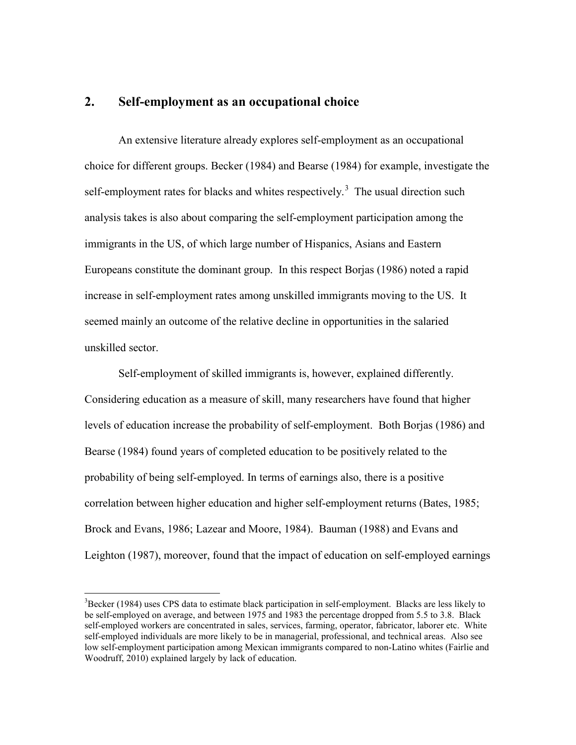#### **2. Self-employment as an occupational choice**

An extensive literature already explores self-employment as an occupational choice for different groups. Becker (1984) and Bearse (1984) for example, investigate the self-employment rates for blacks and whites respectively.<sup>[3](#page-4-0)</sup> The usual direction such analysis takes is also about comparing the self-employment participation among the immigrants in the US, of which large number of Hispanics, Asians and Eastern Europeans constitute the dominant group. In this respect Borjas (1986) noted a rapid increase in self-employment rates among unskilled immigrants moving to the US. It seemed mainly an outcome of the relative decline in opportunities in the salaried unskilled sector.

Self-employment of skilled immigrants is, however, explained differently. Considering education as a measure of skill, many researchers have found that higher levels of education increase the probability of self-employment. Both Borjas (1986) and Bearse (1984) found years of completed education to be positively related to the probability of being self-employed. In terms of earnings also, there is a positive correlation between higher education and higher self-employment returns (Bates, 1985; Brock and Evans, 1986; Lazear and Moore, 1984). Bauman (1988) and Evans and Leighton (1987), moreover, found that the impact of education on self-employed earnings

<span id="page-7-0"></span><sup>&</sup>lt;sup>2</sup><br>3  $B^3$ Becker (1984) uses CPS data to estimate black participation in self-employment. Blacks are less likely to be self-employed on average, and between 1975 and 1983 the percentage dropped from 5.5 to 3.8. Black self-employed workers are concentrated in sales, services, farming, operator, fabricator, laborer etc. White self-employed individuals are more likely to be in managerial, professional, and technical areas. Also see low self-employment participation among Mexican immigrants compared to non-Latino whites (Fairlie and Woodruff, 2010) explained largely by lack of education.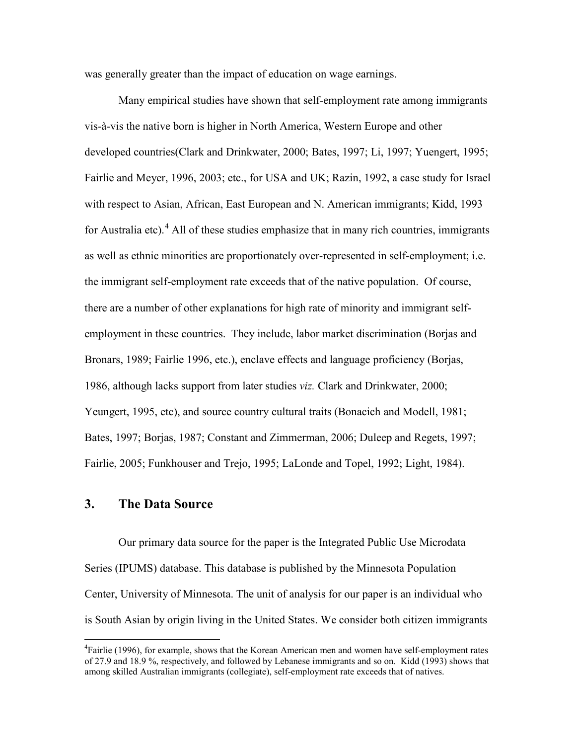was generally greater than the impact of education on wage earnings.

Many empirical studies have shown that self-employment rate among immigrants vis-à-vis the native born is higher in North America, Western Europe and other developed countries(Clark and Drinkwater, 2000; Bates, 1997; Li, 1997; Yuengert, 1995; Fairlie and Meyer, 1996, 2003; etc., for USA and UK; Razin, 1992, a case study for Israel with respect to Asian, African, East European and N. American immigrants; Kidd, 1993 for Australia etc).<sup>[4](#page-7-0)</sup> All of these studies emphasize that in many rich countries, immigrants as well as ethnic minorities are proportionately over-represented in self-employment; i.e. the immigrant self-employment rate exceeds that of the native population. Of course, there are a number of other explanations for high rate of minority and immigrant selfemployment in these countries. They include, labor market discrimination (Borjas and Bronars, 1989; Fairlie 1996, etc.), enclave effects and language proficiency (Borjas, 1986, although lacks support from later studies *viz.* Clark and Drinkwater, 2000; Yeungert, 1995, etc), and source country cultural traits (Bonacich and Modell, 1981; Bates, 1997; Borjas, 1987; Constant and Zimmerman, 2006; Duleep and Regets, 1997; Fairlie, 2005; Funkhouser and Trejo, 1995; LaLonde and Topel, 1992; Light, 1984).

### **3. The Data Source**

Our primary data source for the paper is the Integrated Public Use Microdata Series (IPUMS) database. This database is published by the Minnesota Population Center, University of Minnesota. The unit of analysis for our paper is an individual who is South Asian by origin living in the United States. We consider both citizen immigrants

<span id="page-8-0"></span> $\frac{1}{4}$ <sup>4</sup>Fairlie (1996), for example, shows that the Korean American men and women have self-employment rates of 27.9 and 18.9 %, respectively, and followed by Lebanese immigrants and so on. Kidd (1993) shows that among skilled Australian immigrants (collegiate), self-employment rate exceeds that of natives.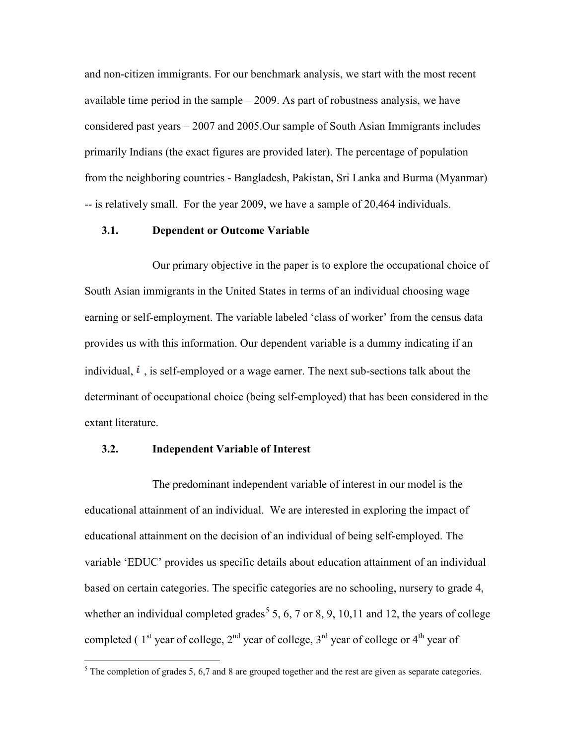and non-citizen immigrants. For our benchmark analysis, we start with the most recent available time period in the sample – 2009. As part of robustness analysis, we have considered past years – 2007 and 2005.Our sample of South Asian Immigrants includes primarily Indians (the exact figures are provided later). The percentage of population from the neighboring countries - Bangladesh, Pakistan, Sri Lanka and Burma (Myanmar) -- is relatively small. For the year 2009, we have a sample of 20,464 individuals.

#### **3.1. Dependent or Outcome Variable**

Our primary objective in the paper is to explore the occupational choice of South Asian immigrants in the United States in terms of an individual choosing wage earning or self-employment. The variable labeled 'class of worker' from the census data provides us with this information. Our dependent variable is a dummy indicating if an individual,  $\mathbf{i}$ , is self-employed or a wage earner. The next sub-sections talk about the determinant of occupational choice (being self-employed) that has been considered in the extant literature.

#### **3.2. Independent Variable of Interest**

The predominant independent variable of interest in our model is the educational attainment of an individual. We are interested in exploring the impact of educational attainment on the decision of an individual of being self-employed. The variable 'EDUC' provides us specific details about education attainment of an individual based on certain categories. The specific categories are no schooling, nursery to grade 4, whether an individual completed grades<sup>[5](#page-8-0)</sup> 5, 6, 7 or 8, 9, 10, 11 and 12, the years of college completed ( $1<sup>st</sup>$  year of college,  $2<sup>nd</sup>$  year of college,  $3<sup>rd</sup>$  year of college or  $4<sup>th</sup>$  year of

<span id="page-9-0"></span> $5$  The completion of grades 5, 6,7 and 8 are grouped together and the rest are given as separate categories.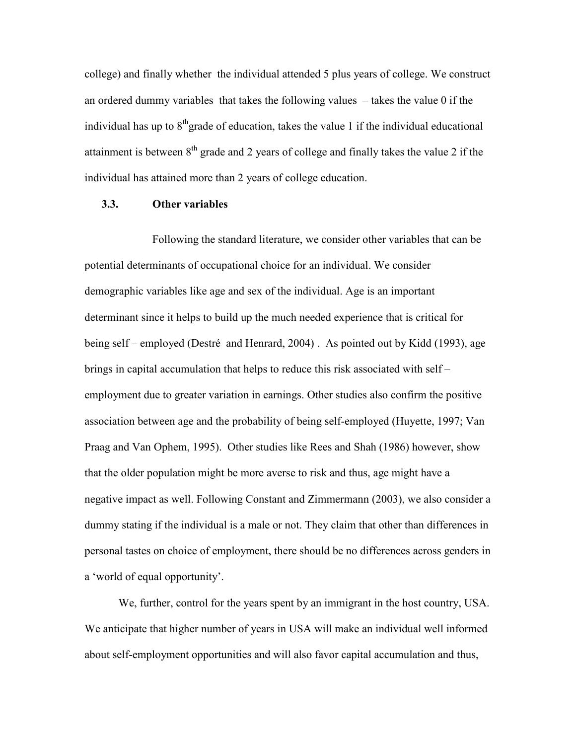college) and finally whether the individual attended 5 plus years of college. We construct an ordered dummy variables that takes the following values – takes the value 0 if the individual has up to  $8<sup>th</sup>$  grade of education, takes the value 1 if the individual educational attainment is between  $8<sup>th</sup>$  grade and 2 years of college and finally takes the value 2 if the individual has attained more than 2 years of college education.

#### **3.3. Other variables**

Following the standard literature, we consider other variables that can be potential determinants of occupational choice for an individual. We consider demographic variables like age and sex of the individual. Age is an important determinant since it helps to build up the much needed experience that is critical for being self – employed (Destré and Henrard, 2004) . As pointed out by Kidd (1993), age brings in capital accumulation that helps to reduce this risk associated with self – employment due to greater variation in earnings. Other studies also confirm the positive association between age and the probability of being self-employed (Huyette, 1997; Van Praag and Van Ophem, 1995). Other studies like Rees and Shah (1986) however, show that the older population might be more averse to risk and thus, age might have a negative impact as well. Following Constant and Zimmermann (2003), we also consider a dummy stating if the individual is a male or not. They claim that other than differences in personal tastes on choice of employment, there should be no differences across genders in a 'world of equal opportunity'.

We, further, control for the years spent by an immigrant in the host country, USA. We anticipate that higher number of years in USA will make an individual well informed about self-employment opportunities and will also favor capital accumulation and thus,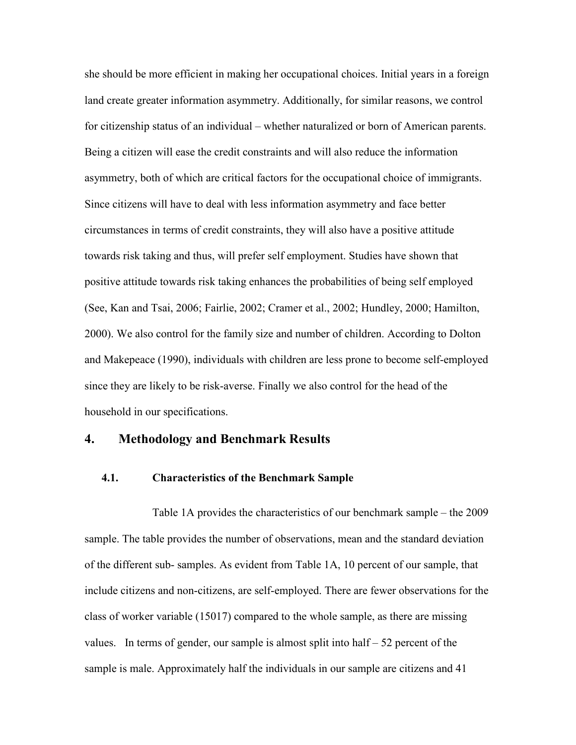she should be more efficient in making her occupational choices. Initial years in a foreign land create greater information asymmetry. Additionally, for similar reasons, we control for citizenship status of an individual – whether naturalized or born of American parents. Being a citizen will ease the credit constraints and will also reduce the information asymmetry, both of which are critical factors for the occupational choice of immigrants. Since citizens will have to deal with less information asymmetry and face better circumstances in terms of credit constraints, they will also have a positive attitude towards risk taking and thus, will prefer self employment. Studies have shown that positive attitude towards risk taking enhances the probabilities of being self employed (See, Kan and Tsai, 2006; Fairlie, 2002; Cramer et al., 2002; Hundley, 2000; Hamilton, 2000). We also control for the family size and number of children. According to Dolton and Makepeace (1990), individuals with children are less prone to become self-employed since they are likely to be risk-averse. Finally we also control for the head of the household in our specifications.

#### **4. Methodology and Benchmark Results**

#### **4.1. Characteristics of the Benchmark Sample**

Table 1A provides the characteristics of our benchmark sample – the 2009 sample. The table provides the number of observations, mean and the standard deviation of the different sub- samples. As evident from Table 1A, 10 percent of our sample, that include citizens and non-citizens, are self-employed. There are fewer observations for the class of worker variable (15017) compared to the whole sample, as there are missing values. In terms of gender, our sample is almost split into half  $-52$  percent of the sample is male. Approximately half the individuals in our sample are citizens and 41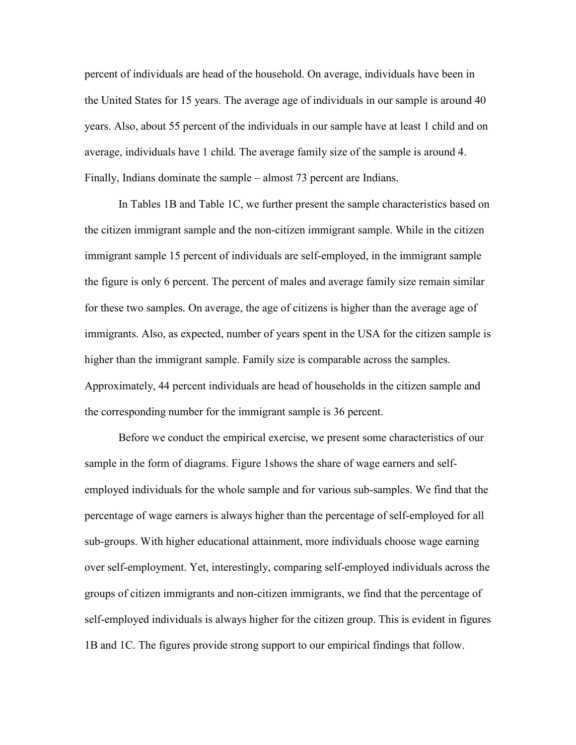percent of individuals are head of the household. On average, individuals have been in the United States for 15 years. The average age of individuals in our sample is around 40 years. Also, about 55 percent of the individuals in our sample have at least 1 child and on average, individuals have 1 child. The average family size of the sample is around 4. Finally, Indians dominate the sample – almost 73 percent are Indians.

In Tables 1B and Table 1C, we further present the sample characteristics based on the citizen immigrant sample and the non-citizen immigrant sample. While in the citizen immigrant sample 15 percent of individuals are self-employed, in the immigrant sample the figure is only 6 percent. The percent of males and average family size remain similar for these two samples. On average, the age of citizens is higher than the average age of immigrants. Also, as expected, number of years spent in the USA for the citizen sample is higher than the immigrant sample. Family size is comparable across the samples. Approximately, 44 percent individuals are head of households in the citizen sample and the corresponding number for the immigrant sample is 36 percent.

Before we conduct the empirical exercise, we present some characteristics of our sample in the form of diagrams. Figure 1shows the share of wage earners and selfemployed individuals for the whole sample and for various sub-samples. We find that the percentage of wage earners is always higher than the percentage of self-employed for all sub-groups. With higher educational attainment, more individuals choose wage earning over self-employment. Yet, interestingly, comparing self-employed individuals across the groups of citizen immigrants and non-citizen immigrants, we find that the percentage of self-employed individuals is always higher for the citizen group. This is evident in figures 1B and 1C. The figures provide strong support to our empirical findings that follow.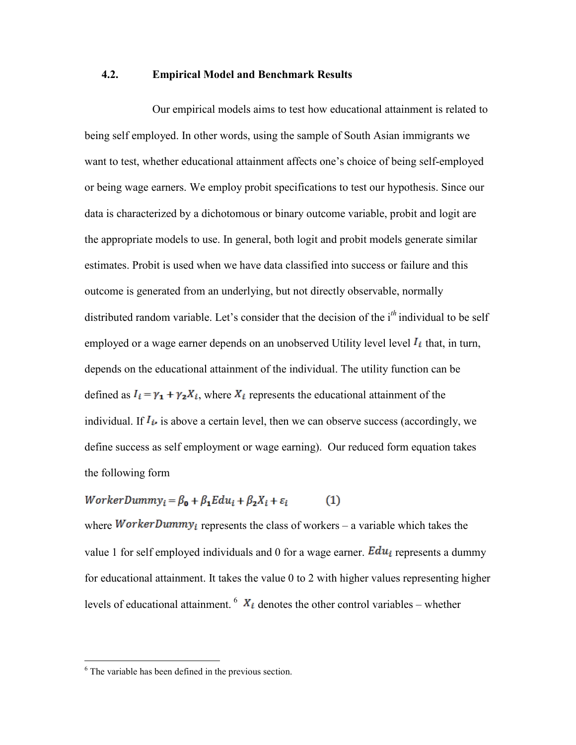#### **4.2. Empirical Model and Benchmark Results**

Our empirical models aims to test how educational attainment is related to being self employed. In other words, using the sample of South Asian immigrants we want to test, whether educational attainment affects one's choice of being self-employed or being wage earners. We employ probit specifications to test our hypothesis. Since our data is characterized by a dichotomous or binary outcome variable, probit and logit are the appropriate models to use. In general, both logit and probit models generate similar estimates. Probit is used when we have data classified into success or failure and this outcome is generated from an underlying, but not directly observable, normally distributed random variable. Let's consider that the decision of the i*th* individual to be self employed or a wage earner depends on an unobserved Utility level level  $I_i$  that, in turn, depends on the educational attainment of the individual. The utility function can be defined as  $I_i = \gamma_1 + \gamma_2 X_i$ , where  $X_i$  represents the educational attainment of the individual. If  $I_{i}$  is above a certain level, then we can observe success (accordingly, we define success as self employment or wage earning). Our reduced form equation takes the following form

$$
WorkerDummy_i = \beta_0 + \beta_1 Edu_i + \beta_2 X_i + \varepsilon_i \tag{1}
$$

where *WorkerDummy<sub>i</sub>* represents the class of workers – a variable which takes the value 1 for self employed individuals and 0 for a wage earner.  $E du_i$  represents a dummy for educational attainment. It takes the value 0 to 2 with higher values representing higher levels of educational attainment.  $6 X_i$  $6 X_i$  denotes the other control variables – whether

<span id="page-13-0"></span> $6$  The variable has been defined in the previous section.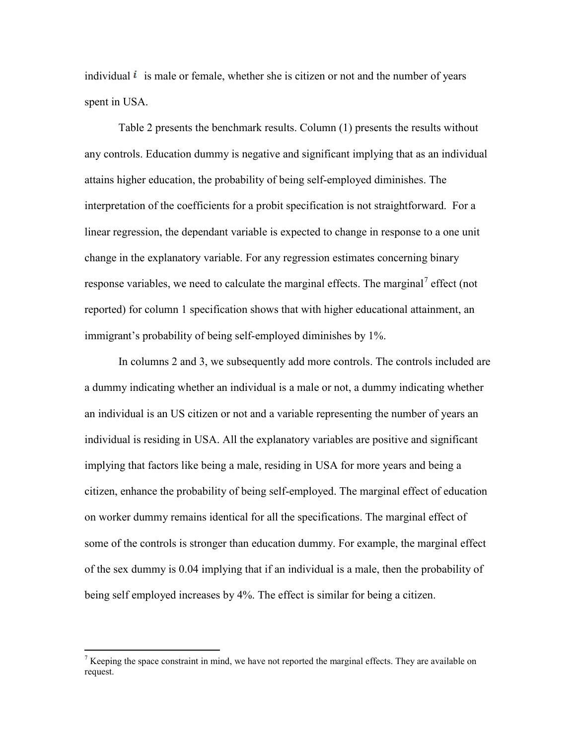individual  $\ell$  is male or female, whether she is citizen or not and the number of years spent in USA.

Table 2 presents the benchmark results. Column (1) presents the results without any controls. Education dummy is negative and significant implying that as an individual attains higher education, the probability of being self-employed diminishes. The interpretation of the coefficients for a probit specification is not straightforward. For a linear regression, the dependant variable is expected to change in response to a one unit change in the explanatory variable. For any regression estimates concerning binary response variables, we need to calculate the marginal effects. The marginal<sup>[7](#page-13-0)</sup> effect (not reported) for column 1 specification shows that with higher educational attainment, an immigrant's probability of being self-employed diminishes by 1%.

In columns 2 and 3, we subsequently add more controls. The controls included are a dummy indicating whether an individual is a male or not, a dummy indicating whether an individual is an US citizen or not and a variable representing the number of years an individual is residing in USA. All the explanatory variables are positive and significant implying that factors like being a male, residing in USA for more years and being a citizen, enhance the probability of being self-employed. The marginal effect of education on worker dummy remains identical for all the specifications. The marginal effect of some of the controls is stronger than education dummy. For example, the marginal effect of the sex dummy is 0.04 implying that if an individual is a male, then the probability of being self employed increases by 4%. The effect is similar for being a citizen.

<span id="page-14-0"></span> $<sup>7</sup>$  Keeping the space constraint in mind, we have not reported the marginal effects. They are available on</sup> request.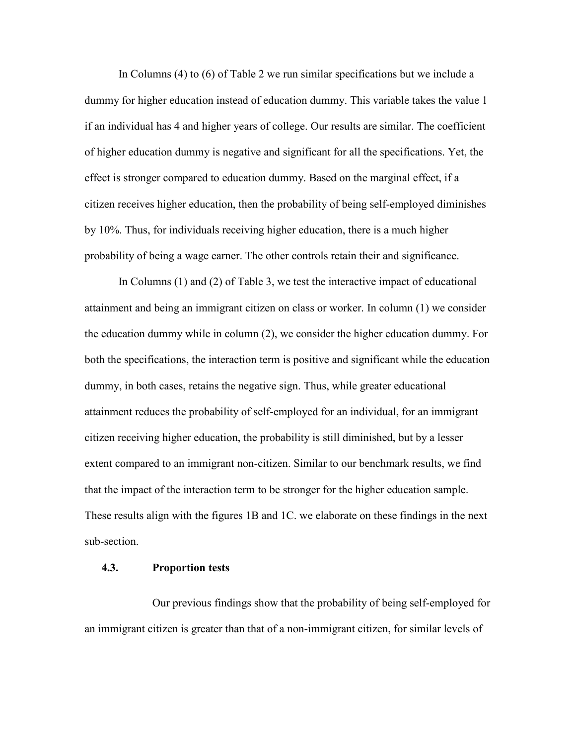In Columns (4) to (6) of Table 2 we run similar specifications but we include a dummy for higher education instead of education dummy. This variable takes the value 1 if an individual has 4 and higher years of college. Our results are similar. The coefficient of higher education dummy is negative and significant for all the specifications. Yet, the effect is stronger compared to education dummy. Based on the marginal effect, if a citizen receives higher education, then the probability of being self-employed diminishes by 10%. Thus, for individuals receiving higher education, there is a much higher probability of being a wage earner. The other controls retain their and significance.

In Columns (1) and (2) of Table 3, we test the interactive impact of educational attainment and being an immigrant citizen on class or worker. In column (1) we consider the education dummy while in column (2), we consider the higher education dummy. For both the specifications, the interaction term is positive and significant while the education dummy, in both cases, retains the negative sign. Thus, while greater educational attainment reduces the probability of self-employed for an individual, for an immigrant citizen receiving higher education, the probability is still diminished, but by a lesser extent compared to an immigrant non-citizen. Similar to our benchmark results, we find that the impact of the interaction term to be stronger for the higher education sample. These results align with the figures 1B and 1C. we elaborate on these findings in the next sub-section.

#### **4.3. Proportion tests**

Our previous findings show that the probability of being self-employed for an immigrant citizen is greater than that of a non-immigrant citizen, for similar levels of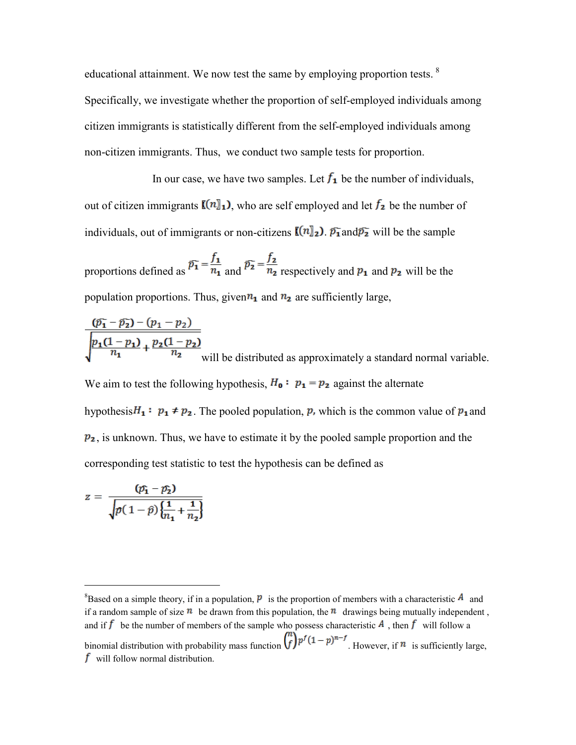educational attainment. We now test the same by employing proportion tests.  $8$ Specifically, we investigate whether the proportion of self-employed individuals among citizen immigrants is statistically different from the self-employed individuals among non-citizen immigrants. Thus, we conduct two sample tests for proportion.

In our case, we have two samples. Let  $f_1$  be the number of individuals, out of citizen immigrants  $\llbracket (n \rrbracket_1)$ , who are self employed and let  $f_2$  be the number of individuals, out of immigrants or non-citizens  $\mathbb{I}(n)_2$ .  $\overline{p_1}$  and  $\overline{p_2}$  will be the sample

proportions defined as  $\overline{p_1} = \frac{f_1}{n_1}$  and  $\overline{p_2} = \frac{f_2}{n_2}$  respectively and  $p_1$  and  $p_2$  will be the population proportions. Thus, given  $n_1$  and  $n_2$  are sufficiently large,

 $(p_1 - p_2) - (p_1 - p_2)$  $\sqrt{\frac{p_1(1-p_1)}{n_1} + \frac{p_2(1-p_2)}{n_2}}$  will be distributed as approximately a standard normal variable. We aim to test the following hypothesis,  $H_0: p_1 = p_2$  against the alternate

hypothesis  $H_1: p_1 \neq p_2$ . The pooled population, p, which is the common value of  $p_1$  and  $p_2$ , is unknown. Thus, we have to estimate it by the pooled sample proportion and the corresponding test statistic to test the hypothesis can be defined as

$$
z = \frac{(\mathcal{p}_1 - \mathcal{p}_2)}{\sqrt{p(1-\hat{p})\left\{\frac{1}{n_1} + \frac{1}{n_2}\right\}}}
$$

<span id="page-16-0"></span> $\frac{1}{8}$ <sup>8</sup>Based on a simple theory, if in a population, **P** is the proportion of members with a characteristic **A** and if a random sample of size  $\bf{u}$  be drawn from this population, the  $\bf{u}$  drawings being mutually independent, and if f be the number of members of the sample who possess characteristic  $\vec{A}$ , then f will follow a binomial distribution with probability mass function  $\binom{n}{f} p^f (1-p)^{n-f}$ . However, if  $n$  is sufficiently large,  $f$  will follow normal distribution.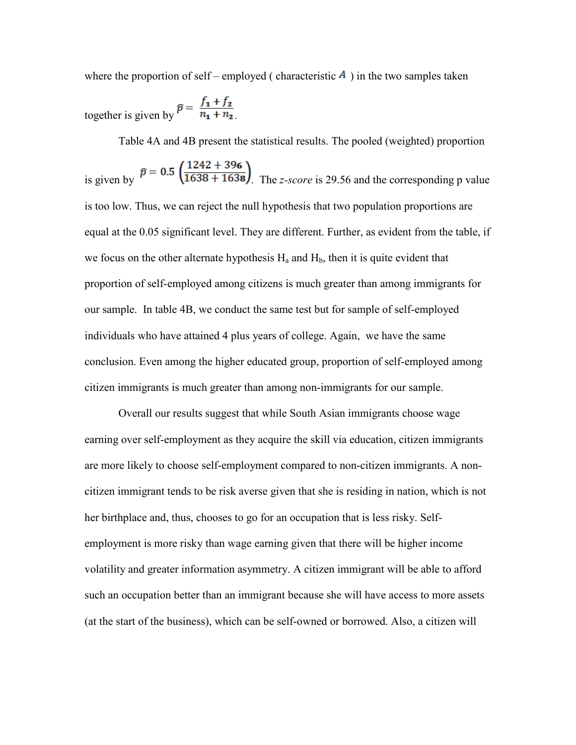where the proportion of self – employed ( characteristic  $\vec{A}$  ) in the two samples taken

together is given by  $\bar{p} = \frac{f_1 + f_2}{n_1 + n_2}$ 

Table 4A and 4B present the statistical results. The pooled (weighted) proportion

is given by  $\bar{p} = 0.5 \left( \frac{1242 + 396}{1638 + 1638} \right)$ . The *z-score* is 29.56 and the corresponding p value is too low. Thus, we can reject the null hypothesis that two population proportions are equal at the 0.05 significant level. They are different. Further, as evident from the table, if we focus on the other alternate hypothesis  $H_a$  and  $H_b$ , then it is quite evident that proportion of self-employed among citizens is much greater than among immigrants for our sample. In table 4B, we conduct the same test but for sample of self-employed individuals who have attained 4 plus years of college. Again, we have the same conclusion. Even among the higher educated group, proportion of self-employed among citizen immigrants is much greater than among non-immigrants for our sample.

Overall our results suggest that while South Asian immigrants choose wage earning over self-employment as they acquire the skill via education, citizen immigrants are more likely to choose self-employment compared to non-citizen immigrants. A noncitizen immigrant tends to be risk averse given that she is residing in nation, which is not her birthplace and, thus, chooses to go for an occupation that is less risky. Selfemployment is more risky than wage earning given that there will be higher income volatility and greater information asymmetry. A citizen immigrant will be able to afford such an occupation better than an immigrant because she will have access to more assets (at the start of the business), which can be self-owned or borrowed. Also, a citizen will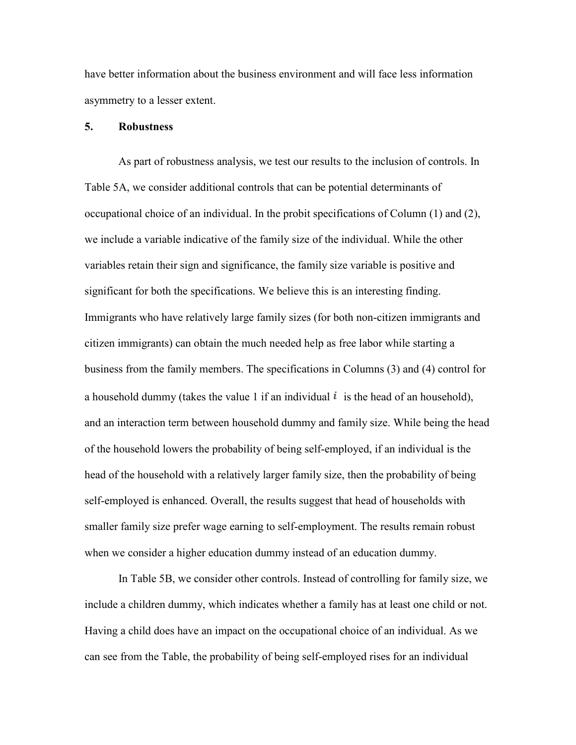have better information about the business environment and will face less information asymmetry to a lesser extent.

#### **5. Robustness**

As part of robustness analysis, we test our results to the inclusion of controls. In Table 5A, we consider additional controls that can be potential determinants of occupational choice of an individual. In the probit specifications of Column (1) and (2), we include a variable indicative of the family size of the individual. While the other variables retain their sign and significance, the family size variable is positive and significant for both the specifications. We believe this is an interesting finding. Immigrants who have relatively large family sizes (for both non-citizen immigrants and citizen immigrants) can obtain the much needed help as free labor while starting a business from the family members. The specifications in Columns (3) and (4) control for a household dummy (takes the value 1 if an individual  $\hat{i}$  is the head of an household), and an interaction term between household dummy and family size. While being the head of the household lowers the probability of being self-employed, if an individual is the head of the household with a relatively larger family size, then the probability of being self-employed is enhanced. Overall, the results suggest that head of households with smaller family size prefer wage earning to self-employment. The results remain robust when we consider a higher education dummy instead of an education dummy.

In Table 5B, we consider other controls. Instead of controlling for family size, we include a children dummy, which indicates whether a family has at least one child or not. Having a child does have an impact on the occupational choice of an individual. As we can see from the Table, the probability of being self-employed rises for an individual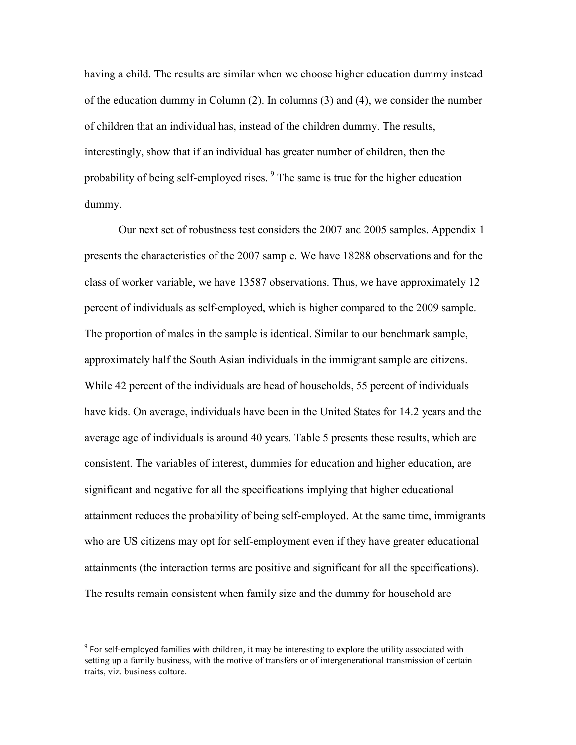having a child. The results are similar when we choose higher education dummy instead of the education dummy in Column (2). In columns (3) and (4), we consider the number of children that an individual has, instead of the children dummy. The results, interestingly, show that if an individual has greater number of children, then the probability of being self-employed rises. <sup>[9](#page-16-0)</sup> The same is true for the higher education dummy.

Our next set of robustness test considers the 2007 and 2005 samples. Appendix 1 presents the characteristics of the 2007 sample. We have 18288 observations and for the class of worker variable, we have 13587 observations. Thus, we have approximately 12 percent of individuals as self-employed, which is higher compared to the 2009 sample. The proportion of males in the sample is identical. Similar to our benchmark sample, approximately half the South Asian individuals in the immigrant sample are citizens. While 42 percent of the individuals are head of households, 55 percent of individuals have kids. On average, individuals have been in the United States for 14.2 years and the average age of individuals is around 40 years. Table 5 presents these results, which are consistent. The variables of interest, dummies for education and higher education, are significant and negative for all the specifications implying that higher educational attainment reduces the probability of being self-employed. At the same time, immigrants who are US citizens may opt for self-employment even if they have greater educational attainments (the interaction terms are positive and significant for all the specifications). The results remain consistent when family size and the dummy for household are

<span id="page-19-0"></span> $9$  For self-employed families with children, it may be interesting to explore the utility associated with setting up a family business, with the motive of transfers or of intergenerational transmission of certain traits, viz. business culture.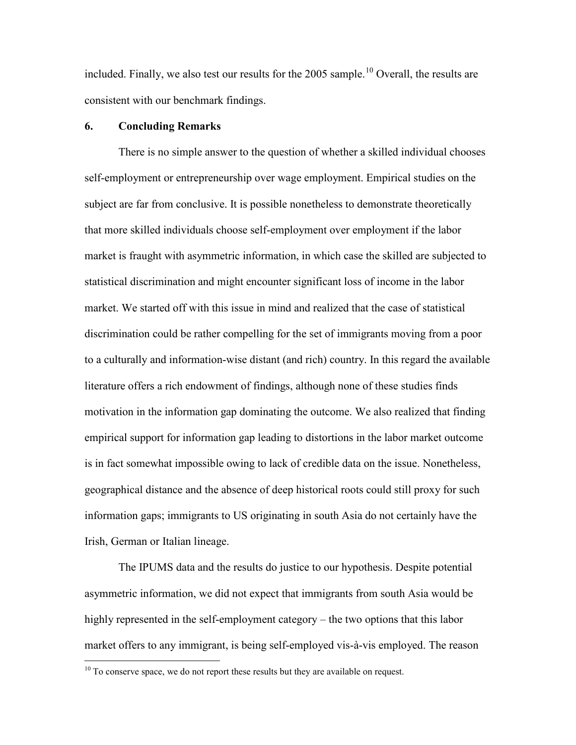included. Finally, we also test our results for the 2005 sample.<sup>[10](#page-19-0)</sup> Overall, the results are consistent with our benchmark findings.

#### **6. Concluding Remarks**

There is no simple answer to the question of whether a skilled individual chooses self-employment or entrepreneurship over wage employment. Empirical studies on the subject are far from conclusive. It is possible nonetheless to demonstrate theoretically that more skilled individuals choose self-employment over employment if the labor market is fraught with asymmetric information, in which case the skilled are subjected to statistical discrimination and might encounter significant loss of income in the labor market. We started off with this issue in mind and realized that the case of statistical discrimination could be rather compelling for the set of immigrants moving from a poor to a culturally and information-wise distant (and rich) country. In this regard the available literature offers a rich endowment of findings, although none of these studies finds motivation in the information gap dominating the outcome. We also realized that finding empirical support for information gap leading to distortions in the labor market outcome is in fact somewhat impossible owing to lack of credible data on the issue. Nonetheless, geographical distance and the absence of deep historical roots could still proxy for such information gaps; immigrants to US originating in south Asia do not certainly have the Irish, German or Italian lineage.

The IPUMS data and the results do justice to our hypothesis. Despite potential asymmetric information, we did not expect that immigrants from south Asia would be highly represented in the self-employment category – the two options that this labor market offers to any immigrant, is being self-employed vis-à-vis employed. The reason

 $10$  To conserve space, we do not report these results but they are available on request.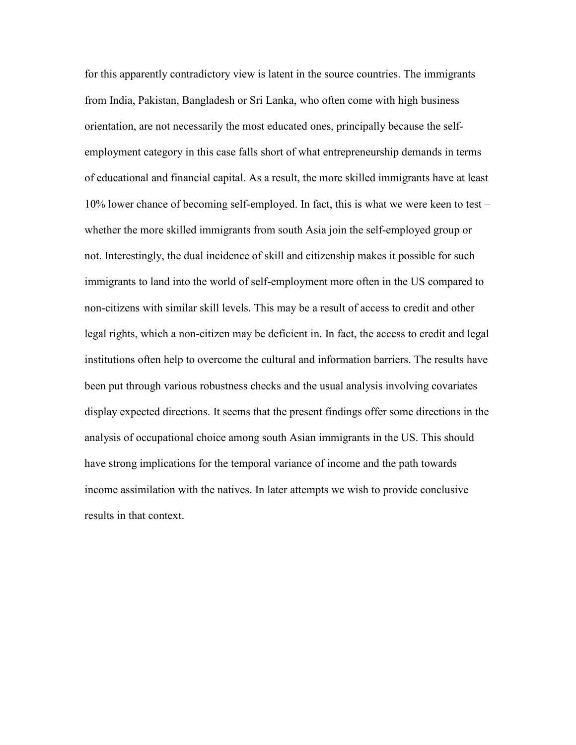for this apparently contradictory view is latent in the source countries. The immigrants from India, Pakistan, Bangladesh or Sri Lanka, who often come with high business orientation, are not necessarily the most educated ones, principally because the selfemployment category in this case falls short of what entrepreneurship demands in terms of educational and financial capital. As a result, the more skilled immigrants have at least 10% lower chance of becoming self-employed. In fact, this is what we were keen to test – whether the more skilled immigrants from south Asia join the self-employed group or not. Interestingly, the dual incidence of skill and citizenship makes it possible for such immigrants to land into the world of self-employment more often in the US compared to non-citizens with similar skill levels. This may be a result of access to credit and other legal rights, which a non-citizen may be deficient in. In fact, the access to credit and legal institutions often help to overcome the cultural and information barriers. The results have been put through various robustness checks and the usual analysis involving covariates display expected directions. It seems that the present findings offer some directions in the analysis of occupational choice among south Asian immigrants in the US. This should have strong implications for the temporal variance of income and the path towards income assimilation with the natives. In later attempts we wish to provide conclusive results in that context.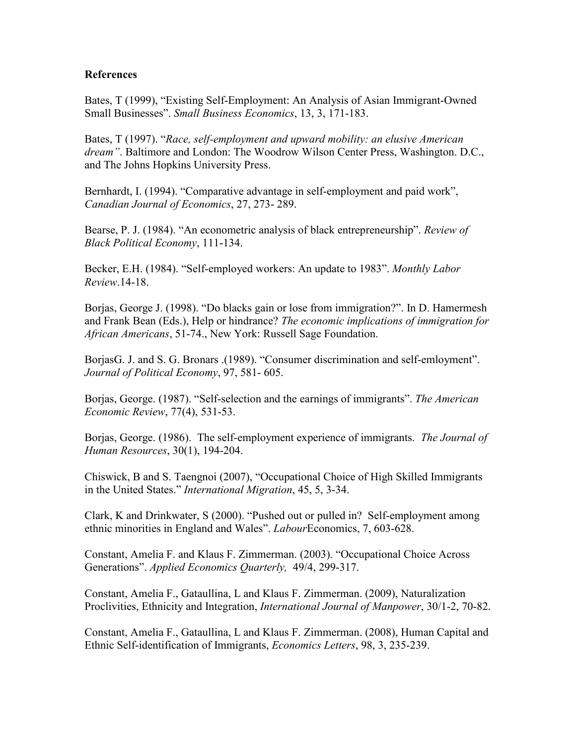#### **References**

Bates, T (1999), "Existing Self-Employment: An Analysis of Asian Immigrant-Owned Small Businesses". *Small Business Economics*, 13, 3, 171-183.

Bates, T (1997). "*Race, self-employment and upward mobility: an elusive American dream"*. Baltimore and London: The Woodrow Wilson Center Press, Washington. D.C., and The Johns Hopkins University Press.

Bernhardt, I. (1994). "Comparative advantage in self-employment and paid work", *Canadian Journal of Economics*, 27, 273- 289.

Bearse, P. J. (1984). "An econometric analysis of black entrepreneurship". *Review of Black Political Economy*, 111-134.

Becker, E.H. (1984). "Self-employed workers: An update to 1983". *Monthly Labor Review*.14-18.

Borjas, George J. (1998). "Do blacks gain or lose from immigration?". In D. Hamermesh and Frank Bean (Eds.), Help or hindrance? *The economic implications of immigration for African Americans*, 51-74., New York: Russell Sage Foundation.

BorjasG. J. and S. G. Bronars .(1989). "Consumer discrimination and self-emloyment". *Journal of Political Economy*, 97, 581- 605.

Borjas, George. (1987). "Self-selection and the earnings of immigrants". *The American Economic Review*, 77(4), 531-53.

Borjas, George. (1986). The self-employment experience of immigrants. *The Journal of Human Resources*, 30(1), 194-204.

Chiswick, B and S. Taengnoi (2007), "Occupational Choice of High Skilled Immigrants in the United States." *International Migration*, 45, 5, 3-34.

Clark, K and Drinkwater, S (2000). "Pushed out or pulled in? Self-employment among ethnic minorities in England and Wales". *Labour*Economics, 7, 603-628.

Constant, Amelia F. and Klaus F. Zimmerman. (2003). "Occupational Choice Across Generations". *Applied Economics Quarterly,* 49/4, 299-317.

Constant, Amelia F., Gataullina, L and Klaus F. Zimmerman. (2009), Naturalization Proclivities, Ethnicity and Integration, *International Journal of Manpower*, 30/1-2, 70-82.

Constant, Amelia F., Gataullina, L and Klaus F. Zimmerman. (2008), Human Capital and Ethnic Self-identification of Immigrants, *Economics Letters*, 98, 3, 235-239.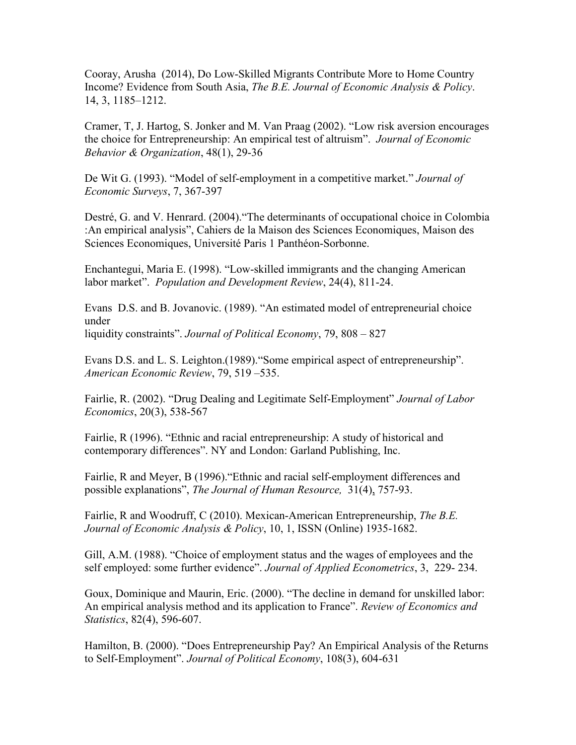Cooray, Arusha (2014), Do Low-Skilled Migrants Contribute More to Home Country Income? Evidence from South Asia, *The B.E. Journal of Economic Analysis & Policy*. 14, 3, 1185–1212.

Cramer, T, J. Hartog, S. Jonker and M. Van Praag (2002). "Low risk aversion encourages the choice for Entrepreneurship: An empirical test of altruism". *Journal of Economic Behavior & Organization*, 48(1), 29-36

De Wit G. (1993). "Model of self-employment in a competitive market." *Journal of Economic Surveys*, 7, 367-397

Destré, G. and V. Henrard. (2004)."The determinants of occupational choice in Colombia :An empirical analysis", Cahiers de la Maison des Sciences Economiques, Maison des Sciences Economiques, Université Paris 1 Panthéon-Sorbonne.

Enchantegui, Maria E. (1998). "Low-skilled immigrants and the changing American labor market". *Population and Development Review*, 24(4), 811-24.

Evans D.S. and B. Jovanovic. (1989). "An estimated model of entrepreneurial choice under liquidity constraints". *Journal of Political Economy*, 79, 808 – 827

Evans D.S. and L. S. Leighton.(1989)."Some empirical aspect of entrepreneurship". *American Economic Review*, 79, 519 –535.

Fairlie, R. (2002). "Drug Dealing and Legitimate Self-Employment" *Journal of Labor Economics*, 20(3), 538-567

Fairlie, R (1996). "Ethnic and racial entrepreneurship: A study of historical and contemporary differences". NY and London: Garland Publishing, Inc.

Fairlie, R and Meyer, B (1996)."Ethnic and racial self-employment differences and possible explanations", *The Journal of Human Resource,* 31(4), 757-93.

Fairlie, R and Woodruff, C (2010). Mexican-American Entrepreneurship, *The B.E. Journal of Economic Analysis & Policy*, 10, 1, ISSN (Online) 1935-1682.

Gill, A.M. (1988). "Choice of employment status and the wages of employees and the self employed: some further evidence". *Journal of Applied Econometrics*, 3, 229- 234.

Goux, Dominique and Maurin, Eric. (2000). "The decline in demand for unskilled labor: An empirical analysis method and its application to France". *Review of Economics and Statistics*, 82(4), 596-607.

Hamilton, B. (2000). "Does Entrepreneurship Pay? An Empirical Analysis of the Returns to Self-Employment". *Journal of Political Economy*, 108(3), 604-631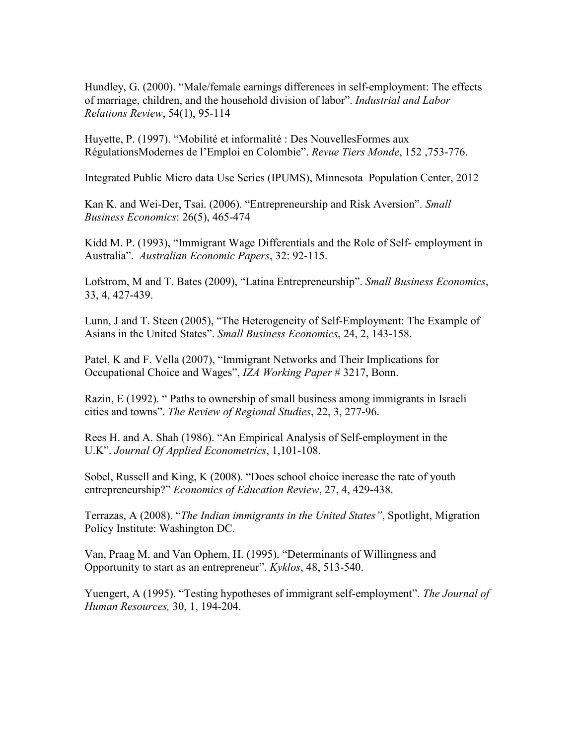Hundley, G. (2000). "Male/female earnings differences in self-employment: The effects of marriage, children, and the household division of labor". *Industrial and Labor Relations Review*, 54(1), 95-114

Huyette, P. (1997). "Mobilité et informalité : Des NouvellesFormes aux RégulationsModernes de l'Emploi en Colombie". *Revue Tiers Monde*, 152 ,753-776.

Integrated Public Micro data Use Series (IPUMS), Minnesota Population Center, 2012

Kan K. and Wei-Der, Tsai. (2006). "Entrepreneurship and Risk Aversion". *Small Business Economics*: 26(5), 465-474

Kidd M. P. (1993), "Immigrant Wage Differentials and the Role of Self- employment in Australia". *Australian Economic Papers*, 32: 92-115.

Lofstrom, M and T. Bates (2009), "Latina Entrepreneurship". *Small Business Economics*, 33, 4, 427-439.

Lunn, J and T. Steen (2005), "The Heterogeneity of Self-Employment: The Example of Asians in the United States". *Small Business Economics*, 24, 2, 143-158.

Patel, K and F. Vella (2007), "Immigrant Networks and Their Implications for Occupational Choice and Wages", *IZA Working Paper* # 3217, Bonn.

Razin, E (1992). " Paths to ownership of small business among immigrants in Israeli cities and towns". *The Review of Regional Studies*, 22, 3, 277-96.

Rees H. and A. Shah (1986). "An Empirical Analysis of Self-employment in the U.K". *Journal Of Applied Econometrics*, 1,101-108.

Sobel, Russell and King, K (2008). "Does school choice increase the rate of youth entrepreneurship?" *Economics of Education Review*, 27, 4, 429-438.

Terrazas, A (2008). "*The Indian immigrants in the United States"*, Spotlight, Migration Policy Institute: Washington DC.

Van, Praag M. and Van Ophem, H. (1995). "Determinants of Willingness and Opportunity to start as an entrepreneur". *Kyklos*, 48, 513-540.

Yuengert, A (1995). "Testing hypotheses of immigrant self-employment". *The Journal of Human Resources,* 30, 1, 194-204.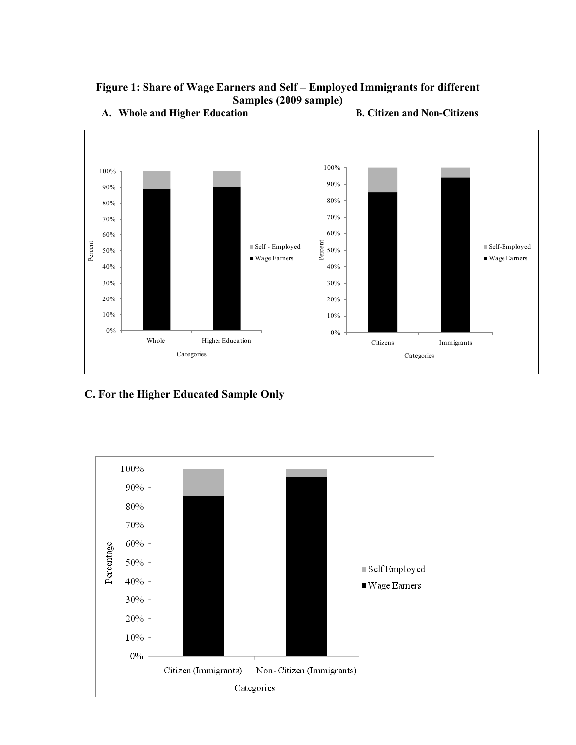



**A. Whole and Higher Education B. Citizen and Non-Citizens**

# **C. For the Higher Educated Sample Only**

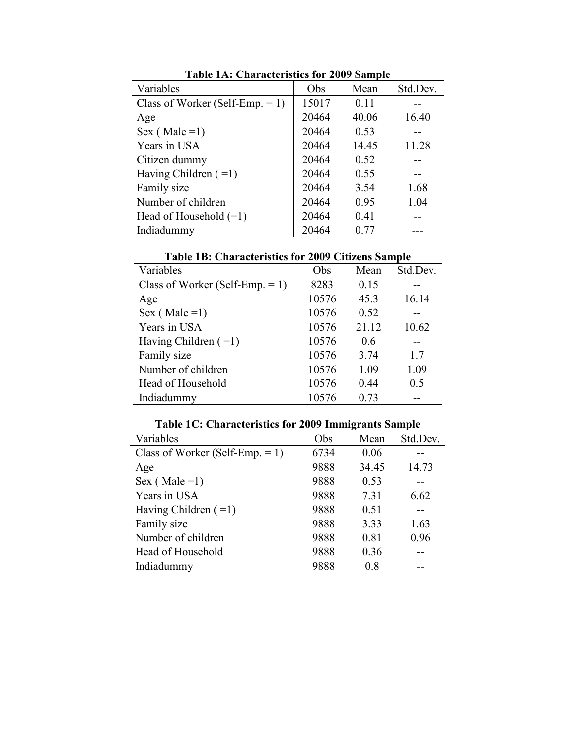|                                    | Table TA. Unafacteristics for 2007 Sample |       |          |  |  |  |  |  |  |
|------------------------------------|-------------------------------------------|-------|----------|--|--|--|--|--|--|
| Variables                          | Obs                                       | Mean  | Std.Dev. |  |  |  |  |  |  |
| Class of Worker (Self-Emp. $= 1$ ) | 15017                                     | 0.11  |          |  |  |  |  |  |  |
| Age                                | 20464                                     | 40.06 | 16.40    |  |  |  |  |  |  |
| Sex (Male = 1)                     | 20464                                     | 0.53  |          |  |  |  |  |  |  |
| Years in USA                       | 20464                                     | 14.45 | 11.28    |  |  |  |  |  |  |
| Citizen dummy                      | 20464                                     | 0.52  |          |  |  |  |  |  |  |
| Having Children $( =1)$            | 20464                                     | 0.55  |          |  |  |  |  |  |  |
| Family size                        | 20464                                     | 3.54  | 1.68     |  |  |  |  |  |  |
| Number of children                 | 20464                                     | 0.95  | 1.04     |  |  |  |  |  |  |
| Head of Household $(=1)$           | 20464                                     | 0.41  |          |  |  |  |  |  |  |
| Indiadummy                         | 20464                                     | 0.77  |          |  |  |  |  |  |  |

**Table 1A: Characteristics for 2009 Sample**

**Table 1B: Characteristics for 2009 Citizens Sample**

| Variables                          | Obs   | Mean  | Std.Dev. |
|------------------------------------|-------|-------|----------|
| Class of Worker (Self-Emp. $= 1$ ) | 8283  | 0.15  |          |
| Age                                | 10576 | 45.3  | 16.14    |
| Sex (Male = 1)                     | 10576 | 0.52  |          |
| Years in USA                       | 10576 | 21.12 | 10.62    |
| Having Children $(=1)$             | 10576 | 0.6   |          |
| Family size                        | 10576 | 3.74  | 17       |
| Number of children                 | 10576 | 1.09  | 1.09     |
| Head of Household                  | 10576 | 0.44  | 0.5      |
| Indiadummy                         | 10576 | 0.73  |          |

| Variables                          | Obs  | Mean  | Std.Dev. |
|------------------------------------|------|-------|----------|
| Class of Worker (Self-Emp. $= 1$ ) | 6734 | 0.06  |          |
| Age                                | 9888 | 34.45 | 14.73    |
| Sex (Male = 1)                     | 9888 | 0.53  |          |
| Years in USA                       | 9888 | 7.31  | 6.62     |
| Having Children $(=1)$             | 9888 | 0.51  |          |
| Family size                        | 9888 | 3.33  | 1.63     |
| Number of children                 | 9888 | 0.81  | 0.96     |
| Head of Household                  | 9888 | 0.36  |          |
| Indiadummy                         | 9888 | 0.8   |          |

**Table 1C: Characteristics for 2009 Immigrants Sample**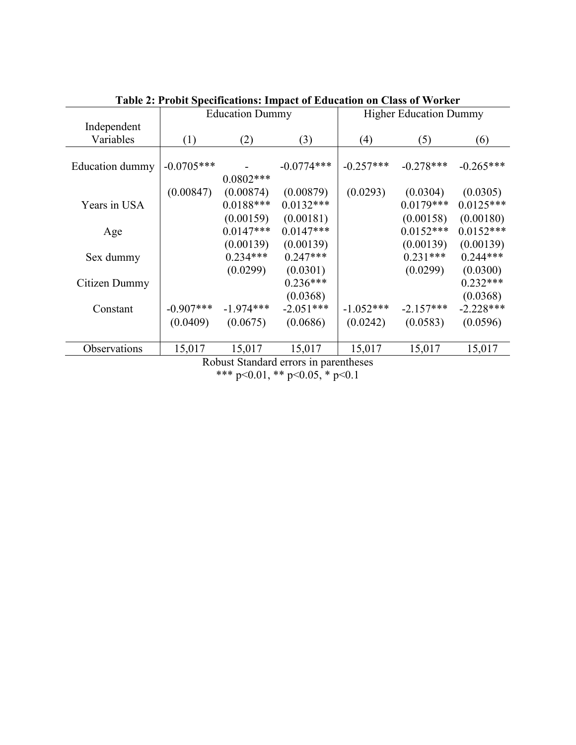|                        |              |                                                                                                                                                                                                                               | Tabit 2. I Tobit Specifications. Impact of Eugeation on Class of Worker |             |                               |             |  |
|------------------------|--------------|-------------------------------------------------------------------------------------------------------------------------------------------------------------------------------------------------------------------------------|-------------------------------------------------------------------------|-------------|-------------------------------|-------------|--|
|                        |              | <b>Education Dummy</b>                                                                                                                                                                                                        |                                                                         |             | <b>Higher Education Dummy</b> |             |  |
| Independent            |              |                                                                                                                                                                                                                               |                                                                         |             |                               |             |  |
| Variables              | (1)          | (2)                                                                                                                                                                                                                           | (3)                                                                     | (4)         | (5)                           | (6)         |  |
|                        |              |                                                                                                                                                                                                                               |                                                                         |             |                               |             |  |
| <b>Education dummy</b> | $-0.0705***$ |                                                                                                                                                                                                                               | $-0.0774***$                                                            | $-0.257***$ | $-0.278***$                   | $-0.265***$ |  |
|                        |              | $0.0802***$                                                                                                                                                                                                                   |                                                                         |             |                               |             |  |
|                        | (0.00847)    | (0.00874)                                                                                                                                                                                                                     | (0.00879)                                                               | (0.0293)    | (0.0304)                      | (0.0305)    |  |
| Years in USA           |              | $0.0188***$                                                                                                                                                                                                                   | $0.0132***$                                                             |             | $0.0179***$                   | $0.0125***$ |  |
|                        |              | (0.00159)                                                                                                                                                                                                                     | (0.00181)                                                               |             | (0.00158)                     | (0.00180)   |  |
| Age                    |              | $0.0147***$                                                                                                                                                                                                                   | $0.0147***$                                                             |             | $0.0152***$                   | $0.0152***$ |  |
|                        |              | (0.00139)                                                                                                                                                                                                                     | (0.00139)                                                               |             | (0.00139)                     | (0.00139)   |  |
| Sex dummy              |              | $0.234***$                                                                                                                                                                                                                    | $0.247***$                                                              |             | $0.231***$                    | $0.244***$  |  |
|                        |              | (0.0299)                                                                                                                                                                                                                      | (0.0301)                                                                |             | (0.0299)                      | (0.0300)    |  |
| Citizen Dummy          |              |                                                                                                                                                                                                                               | $0.236***$                                                              |             |                               | $0.232***$  |  |
|                        |              |                                                                                                                                                                                                                               | (0.0368)                                                                |             |                               | (0.0368)    |  |
| Constant               | $-0.907***$  | $-1.974***$                                                                                                                                                                                                                   | $-2.051***$                                                             | $-1.052***$ | $-2.157***$                   | $-2.228***$ |  |
|                        | (0.0409)     | (0.0675)                                                                                                                                                                                                                      | (0.0686)                                                                | (0.0242)    | (0.0583)                      | (0.0596)    |  |
|                        |              |                                                                                                                                                                                                                               |                                                                         |             |                               |             |  |
| Observations           | 15,017       | 15,017                                                                                                                                                                                                                        | 15,017                                                                  | 15,017      | 15,017                        | 15,017      |  |
|                        |              | $P_1$ $P_2$ $P_3$ $P_4$ $P_5$ $P_6$ $P_7$ $P_8$ $P_9$ $P_9$ $P_9$ $P_9$ $P_9$ $P_9$ $P_9$ $P_9$ $P_9$ $P_9$ $P_9$ $P_9$ $P_9$ $P_9$ $P_9$ $P_9$ $P_9$ $P_9$ $P_9$ $P_9$ $P_9$ $P_9$ $P_9$ $P_9$ $P_9$ $P_9$ $P_9$ $P_9$ $P_9$ |                                                                         |             |                               |             |  |

Robust Standard errors in parentheses \*\*\* p<0.01, \*\* p<0.05, \* p<0.1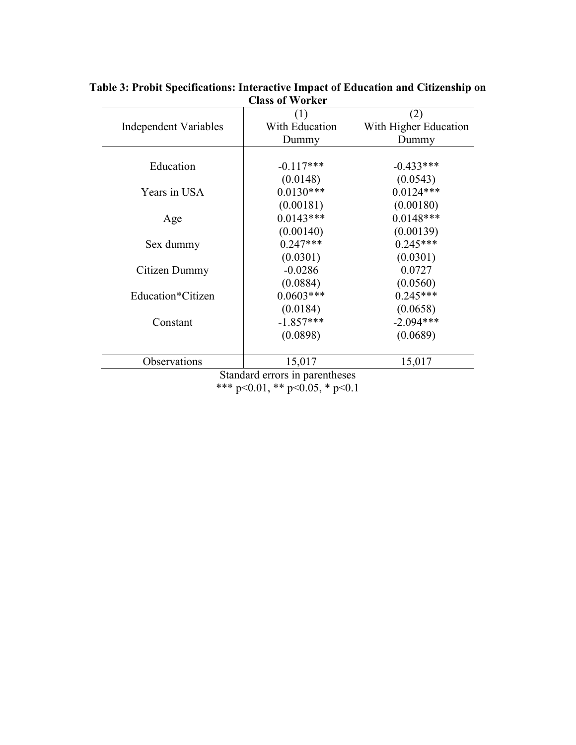|                              | (1)            | (2)                   |
|------------------------------|----------------|-----------------------|
| <b>Independent Variables</b> | With Education | With Higher Education |
|                              | Dummy          | Dummy                 |
|                              |                |                       |
| Education                    | $-0.117***$    | $-0.433***$           |
|                              | (0.0148)       | (0.0543)              |
| Years in USA                 | $0.0130***$    | $0.0124***$           |
|                              | (0.00181)      | (0.00180)             |
| Age                          | $0.0143***$    | $0.0148***$           |
|                              | (0.00140)      | (0.00139)             |
| Sex dummy                    | $0.247***$     | $0.245***$            |
|                              | (0.0301)       | (0.0301)              |
| Citizen Dummy                | $-0.0286$      | 0.0727                |
|                              | (0.0884)       | (0.0560)              |
| Education*Citizen            | $0.0603***$    | $0.245***$            |
|                              | (0.0184)       | (0.0658)              |
| Constant                     | $-1.857***$    | $-2.094***$           |
|                              | (0.0898)       | (0.0689)              |
| Observations                 | 15,017         | 15,017                |

#### **Table 3: Probit Specifications: Interactive Impact of Education and Citizenship on Class of Worker**

 $p<0.01$ , \*\*  $p<0.05$ , \*  $p<0.1$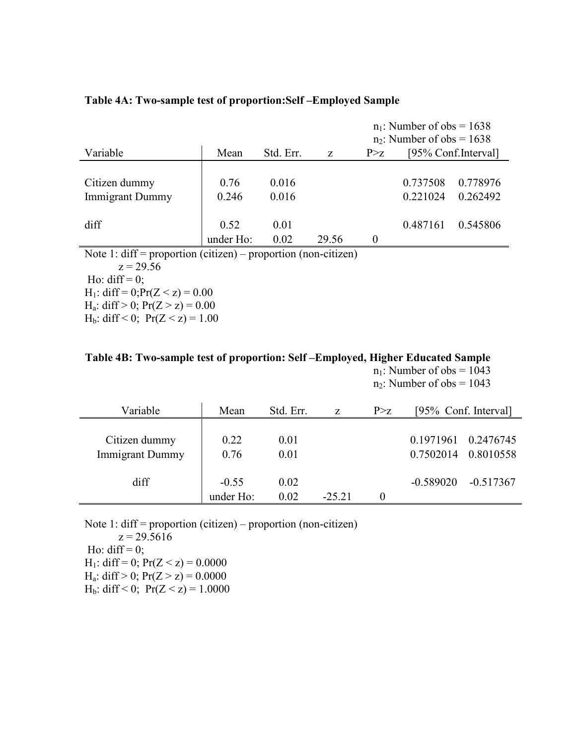|                                         |                        |                |                          | $n_1$ : Number of obs = 1638<br>$n_2$ : Number of obs = 1638 |                      |                      |
|-----------------------------------------|------------------------|----------------|--------------------------|--------------------------------------------------------------|----------------------|----------------------|
| Variable                                | Mean                   | Std. Err.      | Z                        | P > z                                                        |                      | [95% Conf. Interval] |
| Citizen dummy<br><b>Immigrant Dummy</b> | 0.76<br>0.246          | 0.016<br>0.016 |                          |                                                              | 0.737508<br>0.221024 | 0.778976<br>0.262492 |
| diff                                    | 0.52<br>under Ho:<br>. | 0.01<br>0.02   | 29.56<br>$\cdot$ $\cdot$ | 0                                                            | 0.487161             | 0.545806             |

#### **Table 4A: Two-sample test of proportion:Self –Employed Sample**

Note 1: diff = proportion (citizen) – proportion (non-citizen)  $z = 29.56$ 

Ho: diff =  $0$ ; H<sub>1</sub>: diff = 0; $Pr(Z < z) = 0.00$ 

H<sub>a</sub>: diff > 0;  $Pr(Z > z) = 0.00$ H<sub>b</sub>: diff < 0;  $Pr(Z < z) = 1.00$ 

# **Table 4B: Two-sample test of proportion: Self –Employed, Higher Educated Sample**  $n_1$ : Number of obs = 1043

 $n_2$ : Number of obs = 1043

| Variable               | Mean      | Std. Err. | Z       | P > Z |                     | [95% Conf. Interval] |
|------------------------|-----------|-----------|---------|-------|---------------------|----------------------|
|                        |           |           |         |       |                     |                      |
| Citizen dummy          | 0.22      | 0.01      |         |       | 0.1971961 0.2476745 |                      |
| <b>Immigrant Dummy</b> | 0.76      | 0.01      |         |       | 0.7502014           | 0.8010558            |
|                        |           |           |         |       |                     |                      |
| diff                   | $-0.55$   | 0.02      |         |       | $-0.589020$         | $-0.517367$          |
|                        | under Ho: | 0.02      | $-2521$ |       |                     |                      |

Note 1: diff = proportion (citizen) – proportion (non-citizen)

 $z = 29.5616$ Ho: diff =  $0$ ; H<sub>1</sub>: diff = 0;  $Pr(Z < z) = 0.0000$ H<sub>a</sub>: diff > 0;  $Pr(Z > z) = 0.0000$ H<sub>b</sub>: diff < 0;  $Pr(Z < z) = 1.0000$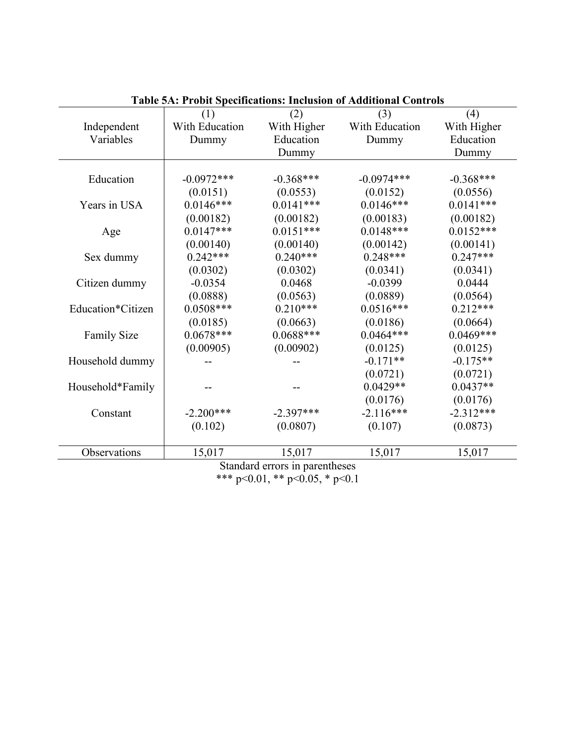|                    | <b>Table 5A: Probit Specifications: Inclusion of Additional Controls</b> |                                      |                |             |  |  |  |
|--------------------|--------------------------------------------------------------------------|--------------------------------------|----------------|-------------|--|--|--|
|                    | (1)                                                                      | (2)                                  | (3)            | (4)         |  |  |  |
| Independent        | With Education                                                           | With Higher                          | With Education | With Higher |  |  |  |
| Variables          | Dummy                                                                    | Education                            | Dummy          | Education   |  |  |  |
|                    |                                                                          | Dummy                                |                | Dummy       |  |  |  |
|                    |                                                                          |                                      |                |             |  |  |  |
| Education          | $-0.0972***$                                                             | $-0.368***$                          | $-0.0974***$   | $-0.368***$ |  |  |  |
|                    | (0.0151)                                                                 | (0.0553)                             | (0.0152)       | (0.0556)    |  |  |  |
| Years in USA       | $0.0146***$                                                              | $0.0141***$                          | $0.0146***$    | $0.0141***$ |  |  |  |
|                    | (0.00182)                                                                | (0.00182)                            | (0.00183)      | (0.00182)   |  |  |  |
| Age                | $0.0147***$                                                              | $0.0151***$                          | $0.0148***$    | $0.0152***$ |  |  |  |
|                    | (0.00140)                                                                | (0.00140)                            | (0.00142)      | (0.00141)   |  |  |  |
| Sex dummy          | $0.242***$                                                               | $0.240***$                           | $0.248***$     | $0.247***$  |  |  |  |
|                    | (0.0302)                                                                 | (0.0302)                             | (0.0341)       | (0.0341)    |  |  |  |
| Citizen dummy      | $-0.0354$                                                                | 0.0468                               | $-0.0399$      | 0.0444      |  |  |  |
|                    | (0.0888)                                                                 | (0.0563)                             | (0.0889)       | (0.0564)    |  |  |  |
| Education*Citizen  | $0.0508***$                                                              | $0.210***$                           | $0.0516***$    | $0.212***$  |  |  |  |
|                    | (0.0185)                                                                 | (0.0663)                             | (0.0186)       | (0.0664)    |  |  |  |
| <b>Family Size</b> | $0.0678***$                                                              | $0.0688***$                          | $0.0464***$    | $0.0469***$ |  |  |  |
|                    | (0.00905)                                                                | (0.00902)                            | (0.0125)       | (0.0125)    |  |  |  |
| Household dummy    |                                                                          |                                      | $-0.171**$     | $-0.175**$  |  |  |  |
|                    |                                                                          |                                      | (0.0721)       | (0.0721)    |  |  |  |
| Household*Family   |                                                                          |                                      | $0.0429**$     | $0.0437**$  |  |  |  |
|                    |                                                                          |                                      | (0.0176)       | (0.0176)    |  |  |  |
| Constant           | $-2.200***$                                                              | $-2.397***$                          | $-2.116***$    | $-2.312***$ |  |  |  |
|                    | (0.102)                                                                  | (0.0807)                             | (0.107)        | (0.0873)    |  |  |  |
|                    |                                                                          |                                      |                |             |  |  |  |
| Observations       | 15,017                                                                   | 15,017                               | 15,017         | 15,017      |  |  |  |
|                    |                                                                          | $C$ tondord organizacja novem thogga |                |             |  |  |  |

Standard errors in parentheses \*\*\* p<0.01, \*\* p<0.05, \* p<0.1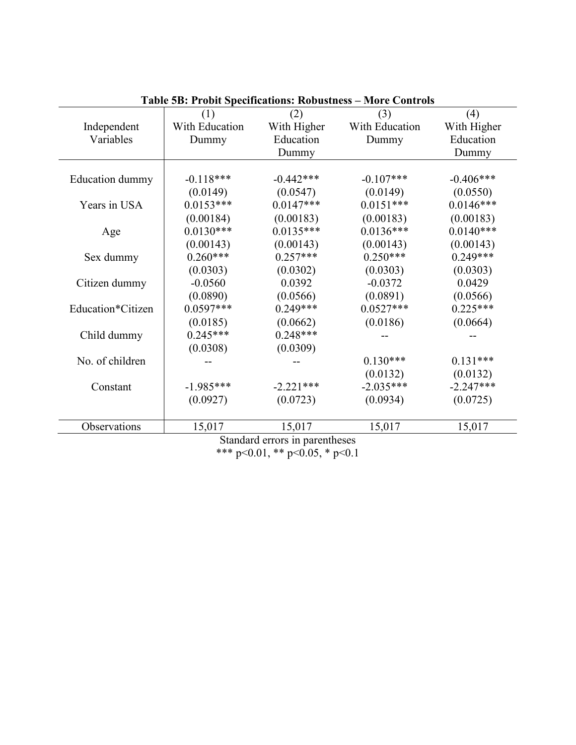|                   |                |                                | <b>Table 5B: Probit Specifications: Robustness - More Controls</b> |             |
|-------------------|----------------|--------------------------------|--------------------------------------------------------------------|-------------|
|                   | (1)            | (2)                            | (3)                                                                | (4)         |
| Independent       | With Education | With Higher                    | With Education                                                     | With Higher |
| Variables         | Dummy          | Education                      | Dummy                                                              | Education   |
|                   |                | Dummy                          |                                                                    | Dummy       |
|                   |                |                                |                                                                    |             |
| Education dummy   | $-0.118***$    | $-0.442***$                    | $-0.107***$                                                        | $-0.406***$ |
|                   | (0.0149)       | (0.0547)                       | (0.0149)                                                           | (0.0550)    |
| Years in USA      | $0.0153***$    | $0.0147***$                    | $0.0151***$                                                        | $0.0146***$ |
|                   | (0.00184)      | (0.00183)                      | (0.00183)                                                          | (0.00183)   |
| Age               | $0.0130***$    | $0.0135***$                    | $0.0136***$                                                        | $0.0140***$ |
|                   | (0.00143)      | (0.00143)                      | (0.00143)                                                          | (0.00143)   |
| Sex dummy         | $0.260***$     | $0.257***$                     | $0.250***$                                                         | $0.249***$  |
|                   | (0.0303)       | (0.0302)                       | (0.0303)                                                           | (0.0303)    |
| Citizen dummy     | $-0.0560$      | 0.0392                         | $-0.0372$                                                          | 0.0429      |
|                   | (0.0890)       | (0.0566)                       | (0.0891)                                                           | (0.0566)    |
| Education*Citizen | $0.0597***$    | $0.249***$                     | $0.0527***$                                                        | $0.225***$  |
|                   | (0.0185)       | (0.0662)                       | (0.0186)                                                           | (0.0664)    |
| Child dummy       | $0.245***$     | $0.248***$                     |                                                                    |             |
|                   | (0.0308)       | (0.0309)                       |                                                                    |             |
| No. of children   |                |                                | $0.130***$                                                         | $0.131***$  |
|                   |                |                                | (0.0132)                                                           | (0.0132)    |
| Constant          | $-1.985***$    | $-2.221***$                    | $-2.035***$                                                        | $-2.247***$ |
|                   | (0.0927)       | (0.0723)                       | (0.0934)                                                           | (0.0725)    |
| Observations      | 15,017         | 15,017                         | 15,017                                                             | 15,017      |
|                   |                | Standard errors in parentheses |                                                                    |             |

\*\*\* p<0.01, \*\* p<0.05, \* p<0.1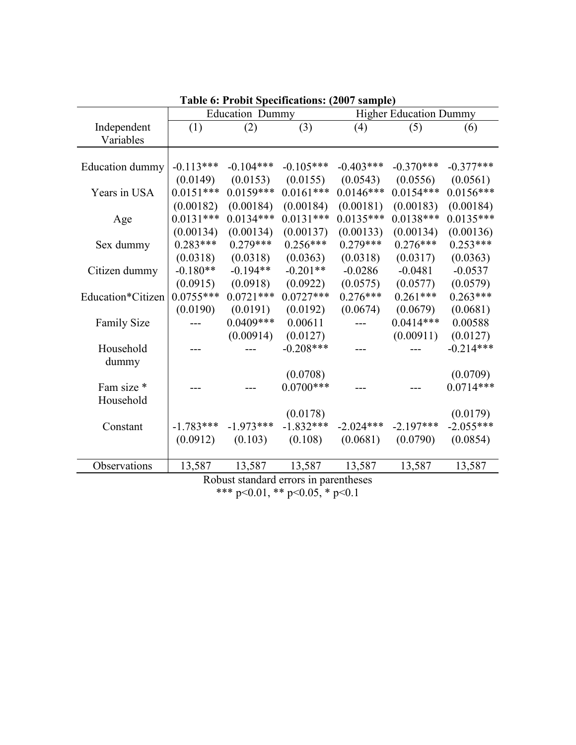|                    |             | Table o: Probit Specifications: (2007 sample) |             |             |                               |             |
|--------------------|-------------|-----------------------------------------------|-------------|-------------|-------------------------------|-------------|
|                    |             | <b>Education Dummy</b>                        |             |             | <b>Higher Education Dummy</b> |             |
| Independent        | (1)         | (2)                                           | (3)         | (4)         | (5)                           | (6)         |
| Variables          |             |                                               |             |             |                               |             |
|                    |             |                                               |             |             |                               |             |
| Education dummy    | $-0.113***$ | $-0.104***$                                   | $-0.105***$ | $-0.403***$ | $-0.370***$                   | $-0.377***$ |
|                    | (0.0149)    | (0.0153)                                      | (0.0155)    | (0.0543)    | (0.0556)                      | (0.0561)    |
| Years in USA       | $0.0151***$ | $0.0159***$                                   | $0.0161***$ | $0.0146***$ | $0.0154***$                   | $0.0156***$ |
|                    | (0.00182)   | (0.00184)                                     | (0.00184)   | (0.00181)   | (0.00183)                     | (0.00184)   |
| Age                | $0.0131***$ | $0.0134***$                                   | $0.0131***$ | $0.0135***$ | $0.0138***$                   | $0.0135***$ |
|                    | (0.00134)   | (0.00134)                                     | (0.00137)   | (0.00133)   | (0.00134)                     | (0.00136)   |
| Sex dummy          | $0.283***$  | $0.279***$                                    | $0.256***$  | $0.279***$  | $0.276***$                    | $0.253***$  |
|                    | (0.0318)    | (0.0318)                                      | (0.0363)    | (0.0318)    | (0.0317)                      | (0.0363)    |
| Citizen dummy      | $-0.180**$  | $-0.194**$                                    | $-0.201**$  | $-0.0286$   | $-0.0481$                     | $-0.0537$   |
|                    | (0.0915)    | (0.0918)                                      | (0.0922)    | (0.0575)    | (0.0577)                      | (0.0579)    |
| Education*Citizen  | $0.0755***$ | $0.0721***$                                   | $0.0727***$ | $0.276***$  | $0.261***$                    | $0.263***$  |
|                    | (0.0190)    | (0.0191)                                      | (0.0192)    | (0.0674)    | (0.0679)                      | (0.0681)    |
| <b>Family Size</b> |             | $0.0409***$                                   | 0.00611     |             | $0.0414***$                   | 0.00588     |
|                    |             | (0.00914)                                     | (0.0127)    |             | (0.00911)                     | (0.0127)    |
| Household          |             |                                               | $-0.208***$ |             |                               | $-0.214***$ |
| dummy              |             |                                               |             |             |                               |             |
|                    |             |                                               | (0.0708)    |             |                               | (0.0709)    |
| Fam size *         |             |                                               | $0.0700***$ |             |                               | $0.0714***$ |
| Household          |             |                                               |             |             |                               |             |
|                    |             |                                               | (0.0178)    |             |                               | (0.0179)    |
| Constant           | $-1.783***$ | $-1.973***$                                   | $-1.832***$ | $-2.024***$ | $-2.197***$                   | $-2.055***$ |
|                    | (0.0912)    | (0.103)                                       | (0.108)     | (0.0681)    | (0.0790)                      | (0.0854)    |
|                    |             |                                               |             |             |                               |             |
| Observations       | 13,587      | 13,587                                        | 13,587      | 13,587      | 13,587                        | 13,587      |
|                    |             | Robust standard errors in parentheses         |             |             |                               |             |

**Table 6: Probit Specifications: (2007 sample)**

\*\*\* p<0.01, \*\* p<0.05, \* p<0.1